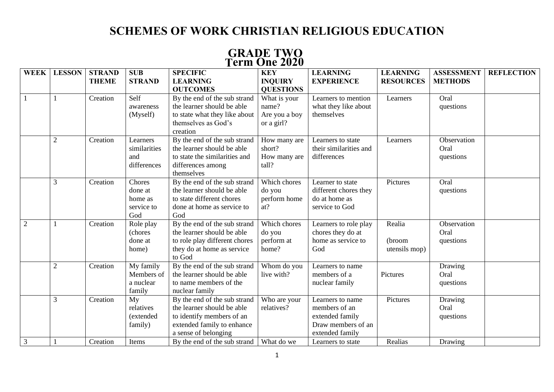## **SCHEMES OF WORK CHRISTIAN RELIGIOUS EDUCATION**

|                |                |                               |                                                   |                                                                                                                                               | TULIII VIIV 4040                                |                                                                                               |                                     |                                     |                   |
|----------------|----------------|-------------------------------|---------------------------------------------------|-----------------------------------------------------------------------------------------------------------------------------------------------|-------------------------------------------------|-----------------------------------------------------------------------------------------------|-------------------------------------|-------------------------------------|-------------------|
| <b>WEEK</b>    | <b>LESSON</b>  | <b>STRAND</b><br><b>THEME</b> | <b>SUB</b><br><b>STRAND</b>                       | <b>SPECIFIC</b><br><b>LEARNING</b>                                                                                                            | <b>KEY</b><br><b>INQUIRY</b>                    | <b>LEARNING</b><br><b>EXPERIENCE</b>                                                          | <b>LEARNING</b><br><b>RESOURCES</b> | <b>ASSESSMENT</b><br><b>METHODS</b> | <b>REFLECTION</b> |
|                |                | Creation                      | Self                                              | <b>OUTCOMES</b><br>By the end of the sub strand                                                                                               | <b>QUESTIONS</b><br>What is your                | Learners to mention                                                                           | Learners                            | Oral                                |                   |
|                |                |                               | awareness<br>(Myself)                             | the learner should be able<br>to state what they like about<br>themselves as God's<br>creation                                                | name?<br>Are you a boy<br>or a girl?            | what they like about<br>themselves                                                            |                                     | questions                           |                   |
|                | $\overline{2}$ | Creation                      | Learners<br>similarities<br>and<br>differences    | By the end of the sub strand<br>the learner should be able<br>to state the similarities and<br>differences among<br>themselves                | How many are<br>short?<br>How many are<br>tall? | Learners to state<br>their similarities and<br>differences                                    | Learners                            | Observation<br>Oral<br>questions    |                   |
|                | 3              | Creation                      | Chores<br>done at<br>home as<br>service to<br>God | By the end of the sub strand<br>the learner should be able<br>to state different chores<br>done at home as service to<br>God                  | Which chores<br>do you<br>perform home<br>at?   | Learner to state<br>different chores they<br>do at home as<br>service to God                  | Pictures                            | Oral<br>questions                   |                   |
| $\overline{2}$ |                | Creation                      | Role play<br>(chores<br>done at<br>home)          | By the end of the sub strand<br>the learner should be able<br>to role play different chores<br>they do at home as service<br>to God           | Which chores<br>do you<br>perform at<br>home?   | Learners to role play<br>chores they do at<br>home as service to<br>God                       | Realia<br>(broom<br>utensils mop)   | Observation<br>Oral<br>questions    |                   |
|                | $\overline{2}$ | Creation                      | My family<br>Members of<br>a nuclear<br>family    | By the end of the sub strand<br>the learner should be able<br>to name members of the<br>nuclear family                                        | Whom do you<br>live with?                       | Learners to name<br>members of a<br>nuclear family                                            | Pictures                            | Drawing<br>Oral<br>questions        |                   |
|                | 3              | Creation                      | My<br>relatives<br>(extended<br>family)           | By the end of the sub strand<br>the learner should be able<br>to identify members of an<br>extended family to enhance<br>a sense of belonging | Who are your<br>relatives?                      | Learners to name<br>members of an<br>extended family<br>Draw members of an<br>extended family | Pictures                            | Drawing<br>Oral<br>questions        |                   |
| 3              |                | Creation                      | Items                                             | By the end of the sub strand   What do we                                                                                                     |                                                 | Learners to state                                                                             | Realias                             | Drawing                             |                   |

## **GRADE TWO Term One 2020**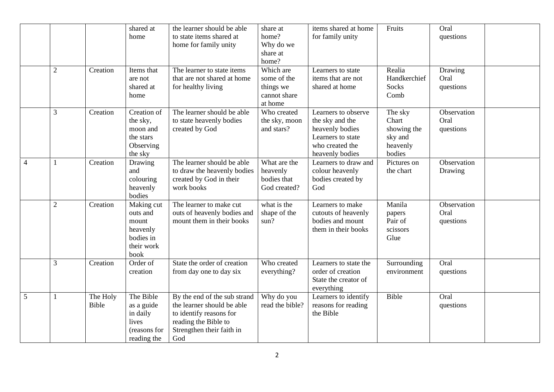|                |                |                   | shared at<br>home                                                              | the learner should be able<br>to state items shared at<br>home for family unity                                                                   | share at<br>home?<br>Why do we<br>share at<br>home?              | items shared at home<br>for family unity                                                                             | Fruits                                                           | Oral<br>questions                |  |
|----------------|----------------|-------------------|--------------------------------------------------------------------------------|---------------------------------------------------------------------------------------------------------------------------------------------------|------------------------------------------------------------------|----------------------------------------------------------------------------------------------------------------------|------------------------------------------------------------------|----------------------------------|--|
|                | $\mathfrak{2}$ | Creation          | Items that<br>are not<br>shared at<br>home                                     | The learner to state items<br>that are not shared at home<br>for healthy living                                                                   | Which are<br>some of the<br>things we<br>cannot share<br>at home | Learners to state<br>items that are not<br>shared at home                                                            | Realia<br>Handkerchief<br>Socks<br>Comb                          | Drawing<br>Oral<br>questions     |  |
|                | 3              | Creation          | Creation of<br>the sky,<br>moon and<br>the stars<br>Observing<br>the sky       | The learner should be able<br>to state heavenly bodies<br>created by God                                                                          | Who created<br>the sky, moon<br>and stars?                       | Learners to observe<br>the sky and the<br>heavenly bodies<br>Learners to state<br>who created the<br>heavenly bodies | The sky<br>Chart<br>showing the<br>sky and<br>heavenly<br>bodies | Observation<br>Oral<br>questions |  |
| $\overline{4}$ | $\mathbf{1}$   | Creation          | Drawing<br>and<br>colouring<br>heavenly<br>bodies                              | The learner should be able<br>to draw the heavenly bodies<br>created by God in their<br>work books                                                | What are the<br>heavenly<br>bodies that<br>God created?          | Learners to draw and<br>colour heavenly<br>bodies created by<br>God                                                  | Pictures on<br>the chart                                         | Observation<br>Drawing           |  |
|                | $\overline{2}$ | Creation          | Making cut<br>outs and<br>mount<br>heavenly<br>bodies in<br>their work<br>book | The learner to make cut<br>outs of heavenly bodies and<br>mount them in their books                                                               | what is the<br>shape of the<br>sun?                              | Learners to make<br>cutouts of heavenly<br>bodies and mount<br>them in their books                                   | Manila<br>papers<br>Pair of<br>scissors<br>Glue                  | Observation<br>Oral<br>questions |  |
|                | 3              | Creation          | Order of<br>creation                                                           | State the order of creation<br>from day one to day six                                                                                            | Who created<br>everything?                                       | Learners to state the<br>order of creation<br>State the creator of<br>everything                                     | Surrounding<br>environment                                       | Oral<br>questions                |  |
| 5              | $\mathbf{1}$   | The Holy<br>Bible | The Bible<br>as a guide<br>in daily<br>lives<br>(reasons for<br>reading the    | By the end of the sub strand<br>the learner should be able<br>to identify reasons for<br>reading the Bible to<br>Strengthen their faith in<br>God | Why do you<br>read the bible?                                    | Learners to identify<br>reasons for reading<br>the Bible                                                             | Bible                                                            | Oral<br>questions                |  |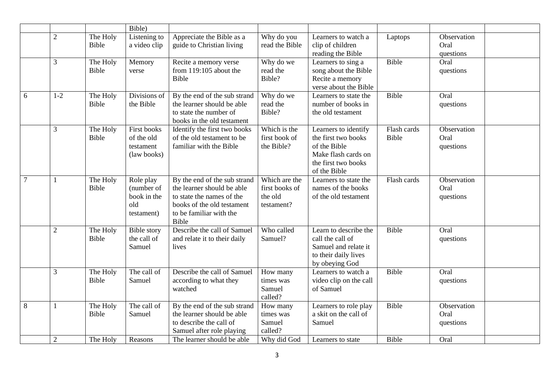|        |                |                   | Bible)                                                      |                                                                                                                                                           |                                                          |                                                                                                                           |                      |                                  |  |
|--------|----------------|-------------------|-------------------------------------------------------------|-----------------------------------------------------------------------------------------------------------------------------------------------------------|----------------------------------------------------------|---------------------------------------------------------------------------------------------------------------------------|----------------------|----------------------------------|--|
|        | $\overline{2}$ | The Holy<br>Bible | Listening to<br>a video clip                                | Appreciate the Bible as a<br>guide to Christian living                                                                                                    | Why do you<br>read the Bible                             | Learners to watch a<br>clip of children<br>reading the Bible                                                              | Laptops              | Observation<br>Oral<br>questions |  |
|        | 3              | The Holy<br>Bible | Memory<br>verse                                             | Recite a memory verse<br>from 119:105 about the<br><b>Bible</b>                                                                                           | Why do we<br>read the<br>Bible?                          | Learners to sing a<br>song about the Bible<br>Recite a memory<br>verse about the Bible                                    | Bible                | Oral<br>questions                |  |
| 6      | $1-2$          | The Holy<br>Bible | Divisions of<br>the Bible                                   | By the end of the sub strand<br>the learner should be able<br>to state the number of<br>books in the old testament                                        | Why do we<br>read the<br>Bible?                          | Learners to state the<br>number of books in<br>the old testament                                                          | Bible                | Oral<br>questions                |  |
|        | $\mathfrak{Z}$ | The Holy<br>Bible | First books<br>of the old<br>testament<br>(law books)       | Identify the first two books<br>of the old testament to be<br>familiar with the Bible                                                                     | Which is the<br>first book of<br>the Bible?              | Learners to identify<br>the first two books<br>of the Bible<br>Make flash cards on<br>the first two books<br>of the Bible | Flash cards<br>Bible | Observation<br>Oral<br>questions |  |
| $\tau$ | $\mathbf{1}$   | The Holy<br>Bible | Role play<br>(number of<br>book in the<br>old<br>testament) | By the end of the sub strand<br>the learner should be able<br>to state the names of the<br>books of the old testament<br>to be familiar with the<br>Bible | Which are the<br>first books of<br>the old<br>testament? | Learners to state the<br>names of the books<br>of the old testament                                                       | Flash cards          | Observation<br>Oral<br>questions |  |
|        | $\sqrt{2}$     | The Holy<br>Bible | <b>Bible</b> story<br>the call of<br>Samuel                 | Describe the call of Samuel<br>and relate it to their daily<br>lives                                                                                      | Who called<br>Samuel?                                    | Learn to describe the<br>call the call of<br>Samuel and relate it<br>to their daily lives<br>by obeying God               | Bible                | Oral<br>questions                |  |
|        | 3              | The Holy<br>Bible | The call of<br>Samuel                                       | Describe the call of Samuel<br>according to what they<br>watched                                                                                          | How many<br>times was<br>Samuel<br>called?               | Learners to watch a<br>video clip on the call<br>of Samuel                                                                | Bible                | Oral<br>questions                |  |
| 8      | 1              | The Holy<br>Bible | The call of<br>Samuel                                       | By the end of the sub strand<br>the learner should be able<br>to describe the call of<br>Samuel after role playing                                        | How many<br>times was<br>Samuel<br>called?               | Learners to role play<br>a skit on the call of<br>Samuel                                                                  | Bible                | Observation<br>Oral<br>questions |  |
|        | $\overline{2}$ | The Holy          | Reasons                                                     | The learner should be able                                                                                                                                | Why did God                                              | Learners to state                                                                                                         | Bible                | Oral                             |  |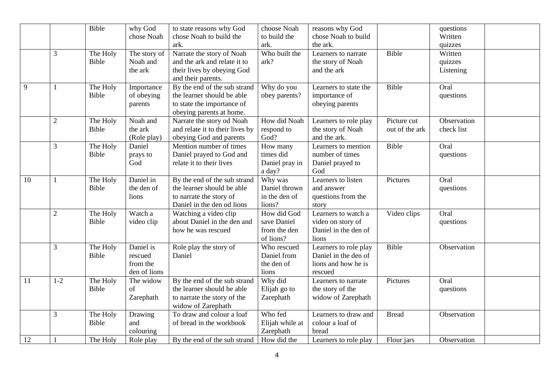|    |                | Bible        | why God      | to state reasons why God        | choose Noah     | reasons why God       |                | questions   |  |
|----|----------------|--------------|--------------|---------------------------------|-----------------|-----------------------|----------------|-------------|--|
|    |                |              | chose Noah   | chose Noah to build the         | to build the    | chose Noah to build   |                | Written     |  |
|    |                |              |              | ark.                            | ark.            | the ark.              |                | quizzes     |  |
|    | 3              | The Holy     | The story of | Narrate the story of Noah       | Who built the   | Learners to narrate   | Bible          | Written     |  |
|    |                | <b>Bible</b> | Noah and     | and the ark and relate it to    | ark?            | the story of Noah     |                | quizzes     |  |
|    |                |              | the ark      | their lives by obeying God      |                 | and the ark           |                | Listening   |  |
|    |                |              |              | and their parents.              |                 |                       |                |             |  |
| 9  |                | The Holy     | Importance   | By the end of the sub strand    | Why do you      | Learners to state the | Bible          | Oral        |  |
|    |                | Bible        | of obeying   | the learner should be able      | obey parents?   | importance of         |                | questions   |  |
|    |                |              | parents      | to state the importance of      |                 | obeying parents       |                |             |  |
|    |                |              |              | obeying parents at home.        |                 |                       |                |             |  |
|    | $\overline{2}$ | The Holy     | Noah and     | Narrate the story od Noah       | How did Noah    | Learners to role play | Picture cut    | Observation |  |
|    |                | <b>Bible</b> | the ark      | and relate it to their lives by | respond to      | the story of Noah     | out of the ark | check list  |  |
|    |                |              | (Role play)  | obeying God and parents         | God?            | and the ark.          |                |             |  |
|    | $\overline{3}$ | The Holy     | Daniel       | Mention number of times         | How many        | Learners to mention   | Bible          | Oral        |  |
|    |                | <b>Bible</b> | prays to     | Daniel prayed to God and        | times did       | number of times       |                | questions   |  |
|    |                |              | God          | relate it to their lives        | Daniel pray in  | Daniel prayed to      |                |             |  |
|    |                |              |              |                                 | a day?          | God                   |                |             |  |
| 10 |                | The Holy     | Daniel in    | By the end of the sub strand    | Why was         | Learners to listen    | Pictures       | Oral        |  |
|    |                | Bible        | the den of   | the learner should be able      | Daniel thrown   | and answer            |                | questions   |  |
|    |                |              | lions        | to narrate the story of         | in the den of   | questions from the    |                |             |  |
|    |                |              |              | Daniel in the den od lions      | lions?          | story                 |                |             |  |
|    | $\overline{2}$ | The Holy     | Watch a      | Watching a video clip           | How did God     | Learners to watch a   | Video clips    | Oral        |  |
|    |                | Bible        | video clip   | about Daniel in the den and     | save Daniel     | video on story of     |                | questions   |  |
|    |                |              |              | how he was rescued              | from the den    | Daniel in the den of  |                |             |  |
|    |                |              |              |                                 | of lions?       | lions                 |                |             |  |
|    | 3              | The Holy     | Daniel is    | Role play the story of          | Who rescued     | Learners to role play | Bible          | Observation |  |
|    |                | Bible        | rescued      | Daniel                          | Daniel from     | Daniel in the den of  |                |             |  |
|    |                |              | from the     |                                 | the den of      | lions and how he is   |                |             |  |
|    |                |              | den of lions |                                 | lions           | rescued               |                |             |  |
| 11 | $1-2$          | The Holy     | The widow    | By the end of the sub strand    | Why did         | Learners to narrate   | Pictures       | Oral        |  |
|    |                | Bible        | of           | the learner should be able      | Elijah go to    | the story of the      |                | questions   |  |
|    |                |              | Zarephath    | to narrate the story of the     | Zarephath       | widow of Zarephath    |                |             |  |
|    |                |              |              | widow of Zarephath              |                 |                       |                |             |  |
|    | 3              | The Holy     | Drawing      | To draw and colour a loaf       | Who fed         | Learners to draw and  | <b>Bread</b>   | Observation |  |
|    |                | Bible        | and          | of bread in the workbook        | Elijah while at | colour a loaf of      |                |             |  |
|    |                |              | colouring    |                                 | Zarephath       | bread                 |                |             |  |
| 12 |                | The Holy     | Role play    | By the end of the sub strand    | How did the     | Learners to role play | Flour jars     | Observation |  |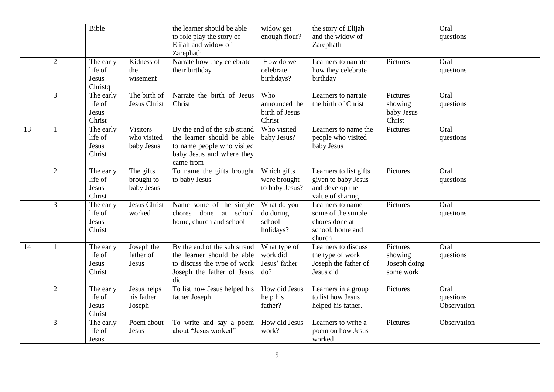|    |                | Bible                                    |                                              | the learner should be able<br>to role play the story of<br>Elijah and widow of<br>Zarephath                                        | widow get<br>enough flour?                       | the story of Elijah<br>and the widow of<br>Zarephath                                   |                                                  | Oral<br>questions                |  |
|----|----------------|------------------------------------------|----------------------------------------------|------------------------------------------------------------------------------------------------------------------------------------|--------------------------------------------------|----------------------------------------------------------------------------------------|--------------------------------------------------|----------------------------------|--|
|    | $\overline{2}$ | The early<br>life of<br>Jesus<br>Christq | Kidness of<br>the<br>wisement                | Narrate how they celebrate<br>their birthday                                                                                       | How do we<br>celebrate<br>birthdays?             | Learners to narrate<br>how they celebrate<br>birthday                                  | Pictures                                         | Oral<br>questions                |  |
|    | 3              | The early<br>life of<br>Jesus<br>Christ  | The birth of<br>Jesus Christ                 | Narrate the birth of Jesus<br>Christ                                                                                               | Who<br>announced the<br>birth of Jesus<br>Christ | Learners to narrate<br>the birth of Christ                                             | Pictures<br>showing<br>baby Jesus<br>Christ      | Oral<br>questions                |  |
| 13 |                | The early<br>life of<br>Jesus<br>Christ  | <b>Visitors</b><br>who visited<br>baby Jesus | By the end of the sub strand<br>the learner should be able<br>to name people who visited<br>baby Jesus and where they<br>came from | Who visited<br>baby Jesus?                       | Learners to name the<br>people who visited<br>baby Jesus                               | Pictures                                         | Oral<br>questions                |  |
|    | $\sqrt{2}$     | The early<br>life of<br>Jesus<br>Christ  | The gifts<br>brought to<br>baby Jesus        | To name the gifts brought<br>to baby Jesus                                                                                         | Which gifts<br>were brought<br>to baby Jesus?    | Learners to list gifts<br>given to baby Jesus<br>and develop the<br>value of sharing   | Pictures                                         | Oral<br>questions                |  |
|    | 3              | The early<br>life of<br>Jesus<br>Christ  | Jesus Christ<br>worked                       | Name some of the simple<br>chores done at school<br>home, church and school                                                        | What do you<br>do during<br>school<br>holidays?  | Learners to name<br>some of the simple<br>chores done at<br>school, home and<br>church | Pictures                                         | Oral<br>questions                |  |
| 14 |                | The early<br>life of<br>Jesus<br>Christ  | Joseph the<br>father of<br>Jesus             | By the end of the sub strand<br>the learner should be able<br>to discuss the type of work<br>Joseph the father of Jesus<br>did     | What type of<br>work did<br>Jesus' father<br>do? | Learners to discuss<br>the type of work<br>Joseph the father of<br>Jesus did           | Pictures<br>showing<br>Joseph doing<br>some work | Oral<br>questions                |  |
|    | $\overline{c}$ | The early<br>life of<br>Jesus<br>Christ  | Jesus helps<br>his father<br>Joseph          | To list how Jesus helped his<br>father Joseph                                                                                      | How did Jesus<br>help his<br>father?             | Learners in a group<br>to list how Jesus<br>helped his father.                         | Pictures                                         | Oral<br>questions<br>Observation |  |
|    | 3              | The early<br>life of<br>Jesus            | Poem about<br>Jesus                          | To write and say a poem<br>about "Jesus worked"                                                                                    | How did Jesus<br>work?                           | Learners to write a<br>poem on how Jesus<br>worked                                     | Pictures                                         | Observation                      |  |